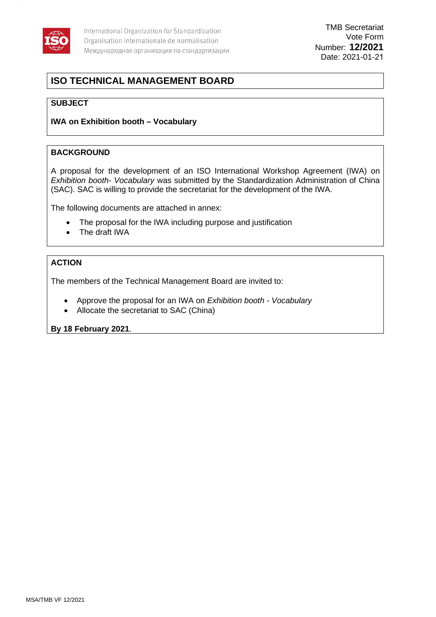

# **ISO TECHNICAL MANAGEMENT BOARD**

#### **SUBJECT**

#### **IWA on Exhibition booth – Vocabulary**

#### **BACKGROUND**

A proposal for the development of an ISO International Workshop Agreement (IWA) on *Exhibition booth- Vocabulary* was submitted by the Standardization Administration of China (SAC). SAC is willing to provide the secretariat for the development of the IWA.

The following documents are attached in annex:

- The proposal for the IWA including purpose and justification
- The draft IWA

#### **ACTION**

The members of the Technical Management Board are invited to:

- Approve the proposal for an IWA on *Exhibition booth Vocabulary*
- Allocate the secretariat to SAC (China)

**By 18 February 2021**.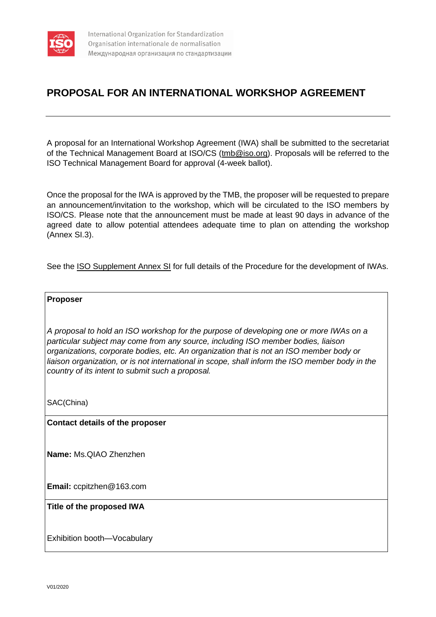

# **PROPOSAL FOR AN INTERNATIONAL WORKSHOP AGREEMENT**

A proposal for an International Workshop Agreement (IWA) shall be submitted to the secretariat of the Technical Management Board at ISO/CS [\(tmb@iso.org\)](mailto:tmb@iso.org). Proposals will be referred to the ISO Technical Management Board for approval (4-week ballot).

Once the proposal for the IWA is approved by the TMB, the proposer will be requested to prepare an announcement/invitation to the workshop, which will be circulated to the ISO members by ISO/CS. Please note that the announcement must be made at least 90 days in advance of the agreed date to allow potential attendees adequate time to plan on attending the workshop (Annex SI.3).

See the [ISO Supplement Annex SI](https://www.iso.org/sites/directives/current/consolidated/index.xhtml#_idTextAnchor514) for full details of the Procedure for the development of IWAs.

#### **Proposer**

*A proposal to hold an ISO workshop for the purpose of developing one or more IWAs on a particular subject may come from any source, including ISO member bodies, liaison organizations, corporate bodies, etc. An organization that is not an ISO member body or liaison organization, or is not international in scope, shall inform the ISO member body in the country of its intent to submit such a proposal.*

SAC(China)

**Contact details of the proposer**

**Name:** Ms.QIAO Zhenzhen

**Email:** ccpitzhen@163.com

#### **Title of the proposed IWA**

Exhibition booth—Vocabulary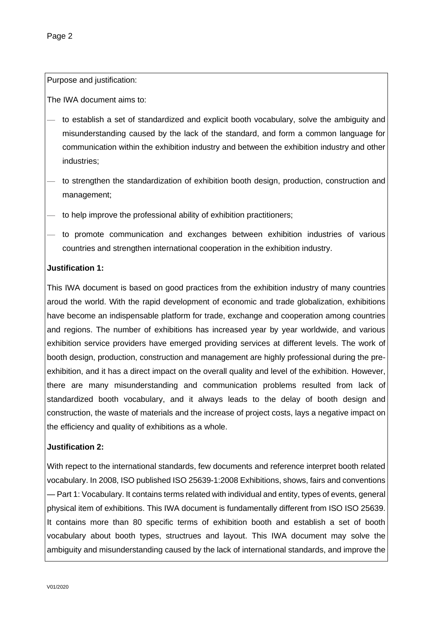Purpose and justification:

The IWA document aims to:

- to establish a set of standardized and explicit booth vocabulary, solve the ambiguity and misunderstanding caused by the lack of the standard, and form a common language for communication within the exhibition industry and between the exhibition industry and other industries;
- to strengthen the standardization of exhibition booth design, production, construction and management;
- to help improve the professional ability of exhibition practitioners;
- to promote communication and exchanges between exhibition industries of various countries and strengthen international cooperation in the exhibition industry.

#### **Justification 1:**

This IWA document is based on good practices from the exhibition industry of many countries aroud the world. With the rapid development of economic and trade globalization, exhibitions have become an indispensable platform for trade, exchange and cooperation among countries and regions. The number of exhibitions has increased year by year worldwide, and various exhibition service providers have emerged providing services at different levels. The work of booth design, production, construction and management are highly professional during the preexhibition, and it has a direct impact on the overall quality and level of the exhibition. However, there are many misunderstanding and communication problems resulted from lack of standardized booth vocabulary, and it always leads to the delay of booth design and construction, the waste of materials and the increase of project costs, lays a negative impact on the efficiency and quality of exhibitions as a whole.

#### **Justification 2:**

With repect to the international standards, few documents and reference interpret booth related vocabulary. In 2008, ISO published ISO 25639-1:2008 Exhibitions, shows, fairs and conventions — Part 1: Vocabulary. It contains terms related with individual and entity, types of events, general physical item of exhibitions. This IWA document is fundamentally different from ISO ISO 25639. It contains more than 80 specific terms of exhibition booth and establish a set of booth vocabulary about booth types, structrues and layout. This IWA document may solve the ambiguity and misunderstanding caused by the lack of international standards, and improve the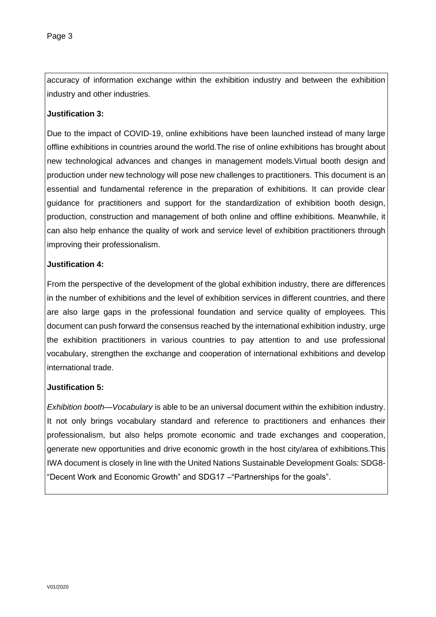accuracy of information exchange within the exhibition industry and between the exhibition industry and other industries.

#### **Justification 3:**

Due to the impact of COVID-19, online exhibitions have been launched instead of many large offline exhibitions in countries around the world.The rise of online exhibitions has brought about new technological advances and changes in management models.Virtual booth design and production under new technology will pose new challenges to practitioners. This document is an essential and fundamental reference in the preparation of exhibitions. It can provide clear guidance for practitioners and support for the standardization of exhibition booth design, production, construction and management of both online and offline exhibitions. Meanwhile, it can also help enhance the quality of work and service level of exhibition practitioners through improving their professionalism.

#### **Justification 4:**

From the perspective of the development of the global exhibition industry, there are differences in the number of exhibitions and the level of exhibition services in different countries, and there are also large gaps in the professional foundation and service quality of employees. This document can push forward the consensus reached by the international exhibition industry, urge the exhibition practitioners in various countries to pay attention to and use professional vocabulary, strengthen the exchange and cooperation of international exhibitions and develop international trade.

#### **Justification 5:**

*Exhibition booth—Vocabulary* is able to be an universal document within the exhibition industry. It not only brings vocabulary standard and reference to practitioners and enhances their professionalism, but also helps promote economic and trade exchanges and cooperation, generate new opportunities and drive economic growth in the host city/area of exhibitions.This IWA document is closely in line with the United Nations Sustainable Development Goals: SDG8- "Decent Work and Economic Growth" and SDG17 –"Partnerships for the goals".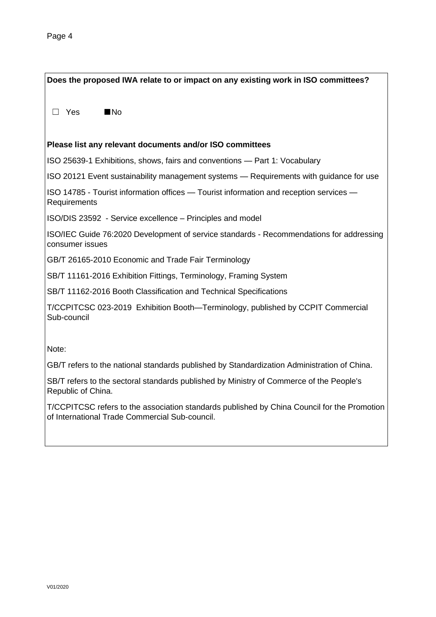**Does the proposed IWA relate to or impact on any existing work in ISO committees?** ☐ Yes ■No **Please list any relevant documents and/or ISO committees** ISO 25639-1 Exhibitions, shows, fairs and conventions — Part 1: Vocabulary ISO 20121 Event sustainability management systems — Requirements with guidance for use ISO 14785 - Tourist information offices — Tourist information and reception services — **Requirements** ISO/DIS 23592 - Service excellence – Principles and model ISO/IEC Guide 76:2020 Development of service standards - Recommendations for addressing consumer issues GB/T 26165-2010 Economic and Trade Fair Terminology SB/T 11161-2016 Exhibition Fittings, Terminology, Framing System SB/T 11162-2016 Booth Classification and Technical Specifications T/CCPITCSC 023-2019 Exhibition Booth—Terminology, published by CCPIT Commercial Sub-council Note: GB/T refers to the national standards published by Standardization Administration of China. SB/T refers to the sectoral standards published by Ministry of Commerce of the People's Republic of China. T/CCPITCSC refers to the association standards published by China Council for the Promotion of International Trade Commercial Sub-council.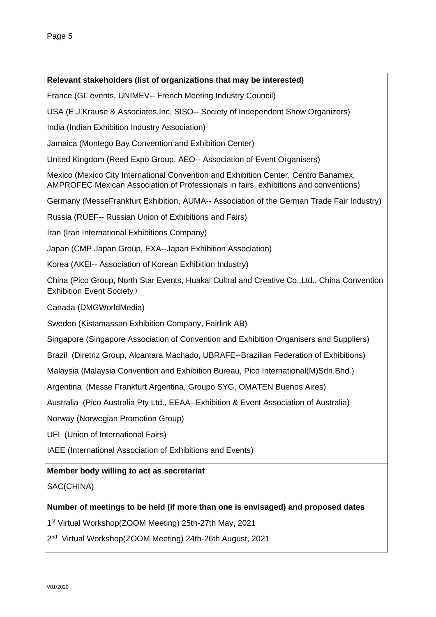#### **Relevant stakeholders (list of organizations that may be interested)**

France (GL events, UNIMEV-- French Meeting Industry Council)

USA (E.J.Krause & Associates,Inc, SISO-- Society of Independent Show Organizers)

India (Indian Exhibition Industry Association)

Jamaica (Montego Bay Convention and Exhibition Center)

United Kingdom (Reed Expo Group, AEO-- Association of Event Organisers)

Mexico (Mexico City International Convention and Exhibition Center, Centro Banamex, AMPROFEC Mexican Association of Professionals in fairs, exhibitions and conventions)

Germany (MesseFrankfurt Exhibition, AUMA-- Association of the German Trade Fair Industry)

Russia (RUEF-- Russian Union of Exhibitions and Fairs)

Iran (Iran International Exhibitions Company)

Japan (CMP Japan Group, EXA--Japan Exhibition Association)

Korea (AKEI-- Association of Korean Exhibition Industry)

China (Pico Group, North Star Events, Huakai Cultral and Creative Co.,Ltd., China Convention Exhibition Event Society)

Canada (DMGWorldMedia)

Sweden (Kistamassan Exhibition Company, Fairlink AB)

Singapore (Singapore Association of Convention and Exhibition Organisers and Suppliers)

Brazil (Diretriz Group, Alcantara Machado, UBRAFE--Brazilian Federation of Exhibitions)

Malaysia (Malaysia Convention and Exhibition Bureau, Pico International(M)Sdn.Bhd.)

Argentina (Messe Frankfurt Argentina, Groupo SYG, OMATEN Buenos Aires)

Australia (Pico Australia Pty Ltd., EEAA--Exhibition & Event Association of Australia)

Norway (Norwegian Promotion Group)

UFI (Union of International Fairs)

IAEE (International Association of Exhibitions and Events)

#### **Member body willing to act as secretariat**

SAC(CHINA)

#### **Number of meetings to be held (if more than one is envisaged) and proposed dates**

1 st Virtual Workshop(ZOOM Meeting) 25th-27th May, 2021

2<sup>nd</sup> Virtual Workshop(ZOOM Meeting) 24th-26th August, 2021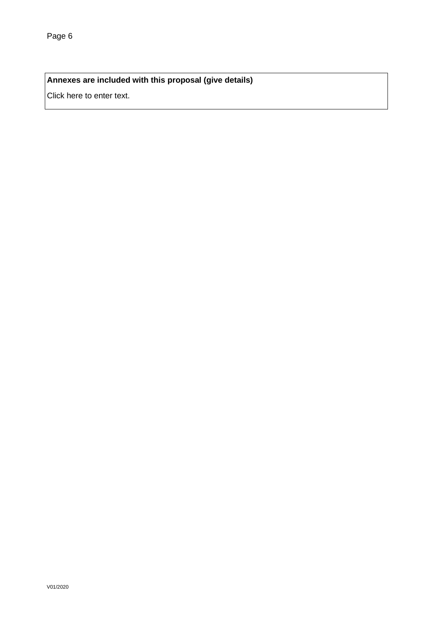### **Annexes are included with this proposal (give details)**

Click here to enter text.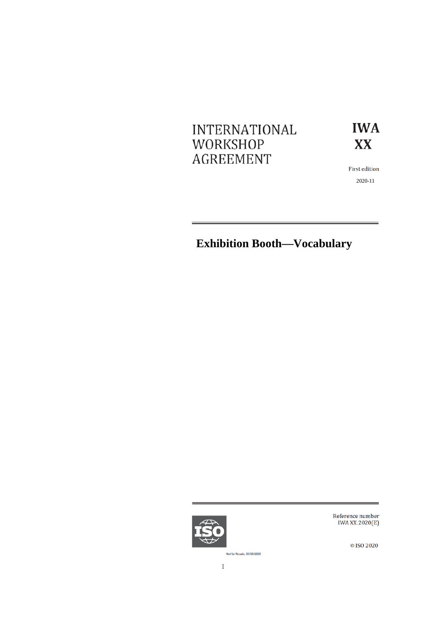# **INTERNATIONAL** WORKSHOP **AGREEMENT**



First edition 2020-11

# **Exhibition Booth—Vocabulary**



Reference number IWA XX:2020(E)

© ISO 2020

Not for Resale, 03/26/2020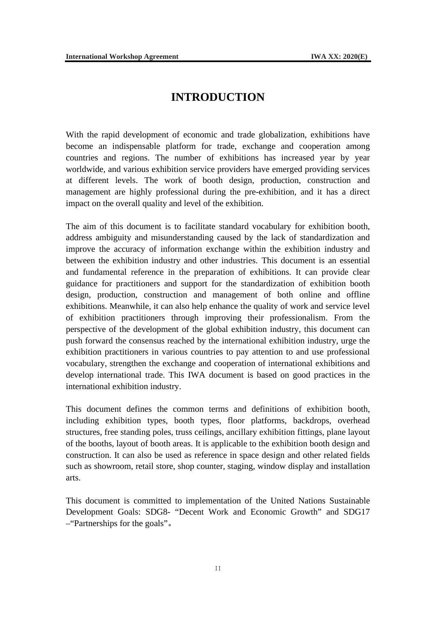# **INTRODUCTION**

<span id="page-8-0"></span>With the rapid development of economic and trade globalization, exhibitions have become an indispensable platform for trade, exchange and cooperation among countries and regions. The number of exhibitions has increased year by year worldwide, and various exhibition service providers have emerged providing services at different levels. The work of booth design, production, construction and management are highly professional during the pre-exhibition, and it has a direct impact on the overall quality and level of the exhibition.

The aim of this document is to facilitate standard vocabulary for exhibition booth, address ambiguity and misunderstanding caused by the lack of standardization and improve the accuracy of information exchange within the exhibition industry and between the exhibition industry and other industries. This document is an essential and fundamental reference in the preparation of exhibitions. It can provide clear guidance for practitioners and support for the standardization of exhibition booth design, production, construction and management of both online and offline exhibitions. Meanwhile, it can also help enhance the quality of work and service level of exhibition practitioners through improving their professionalism. From the perspective of the development of the global exhibition industry, this document can push forward the consensus reached by the international exhibition industry, urge the exhibition practitioners in various countries to pay attention to and use professional vocabulary, strengthen the exchange and cooperation of international exhibitions and develop international trade. This IWA document is based on good practices in the international exhibition industry.

This document defines the common terms and definitions of exhibition booth, including exhibition types, booth types, floor platforms, backdrops, overhead structures, free standing poles, truss ceilings, ancillary exhibition fittings, plane layout of the booths, layout of booth areas. It is applicable to the exhibition booth design and construction. It can also be used as reference in space design and other related fields such as showroom, retail store, shop counter, staging, window display and installation arts.

This document is committed to implementation of the United Nations Sustainable Development Goals: SDG8- "Decent Work and Economic Growth" and SDG17 –"Partnerships for the goals"。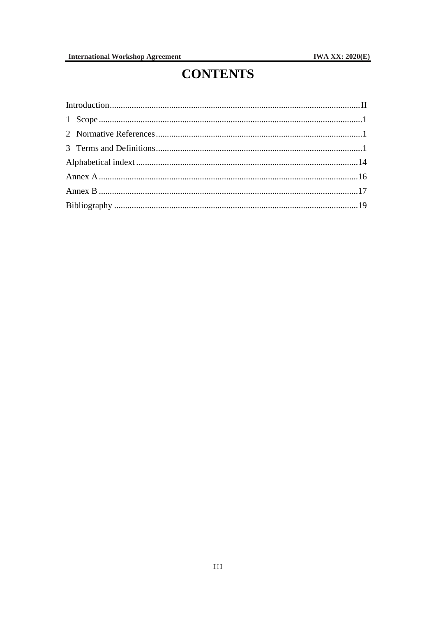# **CONTENTS**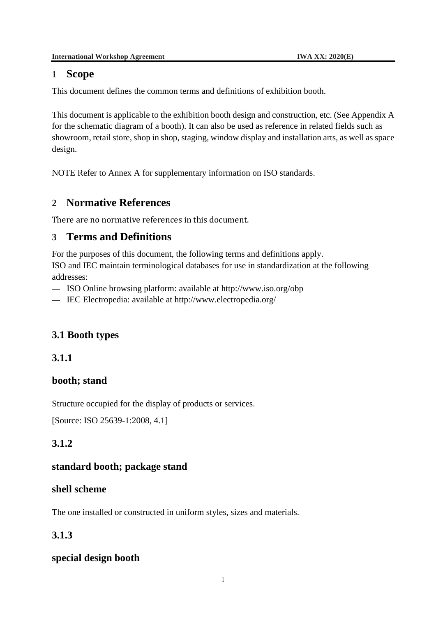#### <span id="page-11-0"></span>**1 Scope**

This document defines the common terms and definitions of exhibition booth.

This document is applicable to the exhibition booth design and construction, etc. (See Appendix A for the schematic diagram of a booth). It can also be used as reference in related fields such as showroom, retail store, shop in shop, staging, window display and installation arts, as well as space design.

NOTE Refer to Annex A for supplementary information on ISO standards.

# <span id="page-11-1"></span>**2 Normative References**

There are no normative references in this document.

# <span id="page-11-2"></span>**3 Terms and Definitions**

For the purposes of this document, the following terms and definitions apply.

ISO and IEC maintain terminological databases for use in standardization at the following addresses:

- ISO Online browsing platform: available at<http://www.iso.org/obp>
- IEC Electropedia: available at <http://www.electropedia.org/>

# **3.1 Booth types**

#### **3.1.1**

# **booth; stand**

Structure occupied for the display of products or services.

[Source: ISO 25639-1:2008, 4.1]

# **3.1.2**

#### **standard booth; package stand**

#### **shell scheme**

The one installed or constructed in uniform styles, sizes and materials.

# **3.1.3**

# **special design booth**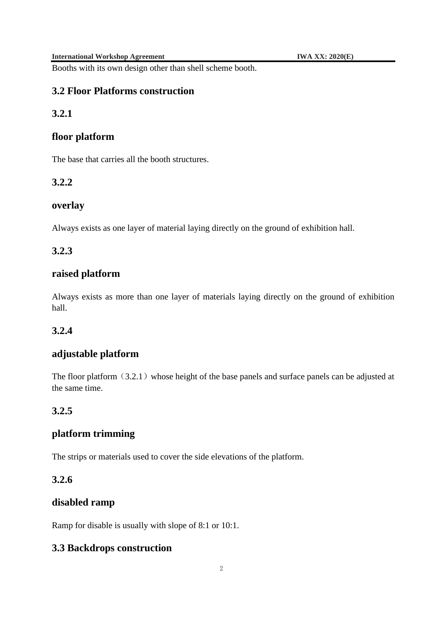Booths with its own design other than shell scheme booth.

#### **3.2 Floor Platforms construction**

#### **3.2.1**

#### **floor platform**

The base that carries all the booth structures.

#### **3.2.2**

#### **overlay**

Always exists as one layer of material laying directly on the ground of exhibition hall.

#### **3.2.3**

# **raised platform**

Always exists as more than one layer of materials laying directly on the ground of exhibition hall.

#### **3.2.4**

#### **adjustable platform**

The floor platform  $(3.2.1)$  whose height of the base panels and surface panels can be adjusted at the same time.

#### **3.2.5**

#### **platform trimming**

The strips or materials used to cover the side elevations of the platform.

# **3.2.6**

#### **disabled ramp**

Ramp for disable is usually with slope of 8:1 or 10:1.

#### **3.3 Backdrops construction**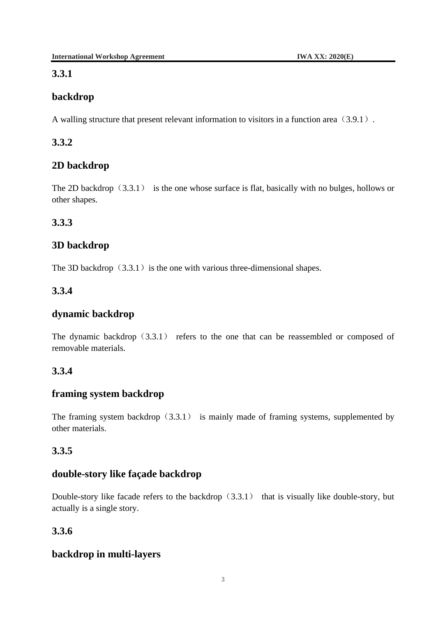# **3.3.1**

# **backdrop**

A walling structure that present relevant information to visitors in a function area (3.9.1).

# **3.3.2**

# **2D backdrop**

The 2D backdrop  $(3.3.1)$  is the one whose surface is flat, basically with no bulges, hollows or other shapes.

# **3.3.3**

# **3D backdrop**

The 3D backdrop  $(3.3.1)$  is the one with various three-dimensional shapes.

# **3.3.4**

# **dynamic backdrop**

The dynamic backdrop  $(3.3.1)$  refers to the one that can be reassembled or composed of removable materials.

# **3.3.4**

# **framing system backdrop**

The framing system backdrop  $(3.3.1)$  is mainly made of framing systems, supplemented by other materials.

# **3.3.5**

# **double-story like façade backdrop**

Double-story like facade refers to the backdrop  $(3.3.1)$  that is visually like double-story, but actually is a single story.

# **3.3.6**

# **backdrop in multi-layers**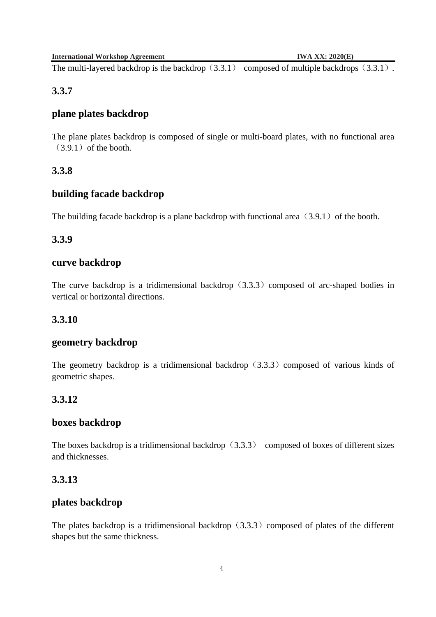The multi-layered backdrop is the backdrop  $(3.3.1)$  composed of multiple backdrops  $(3.3.1)$ .

#### **3.3.7**

#### **plane plates backdrop**

The plane plates backdrop is composed of single or multi-board plates, with no functional area  $(3.9.1)$  of the booth.

#### **3.3.8**

#### **building facade backdrop**

The building facade backdrop is a plane backdrop with functional area  $(3.9.1)$  of the booth.

#### **3.3.9**

#### **curve backdrop**

The curve backdrop is a tridimensional backdrop  $(3.3.3)$  composed of arc-shaped bodies in vertical or horizontal directions.

#### **3.3.10**

#### **geometry backdrop**

The geometry backdrop is a tridimensional backdrop  $(3.3.3)$  composed of various kinds of geometric shapes.

#### **3.3.12**

#### **boxes backdrop**

The boxes backdrop is a tridimensional backdrop  $(3.3.3)$  composed of boxes of different sizes and thicknesses.

#### **3.3.13**

#### **plates backdrop**

The plates backdrop is a tridimensional backdrop  $(3.3.3)$  composed of plates of the different shapes but the same thickness.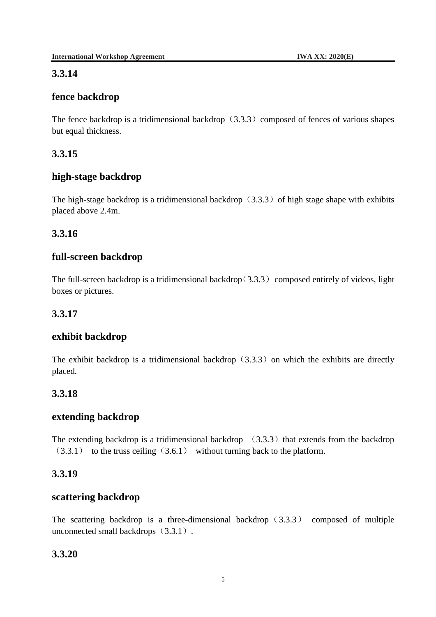# **3.3.14**

# **fence backdrop**

The fence backdrop is a tridimensional backdrop  $(3.3.3)$  composed of fences of various shapes but equal thickness.

# **3.3.15**

# **high-stage backdrop**

The high-stage backdrop is a tridimensional backdrop  $(3.3.3)$  of high stage shape with exhibits placed above 2.4m.

# **3.3.16**

# **full-screen backdrop**

The full-screen backdrop is a tridimensional backdrop( $3.3.3$ ) composed entirely of videos, light boxes or pictures.

#### **3.3.17**

# **exhibit backdrop**

The exhibit backdrop is a tridimensional backdrop  $(3.3.3)$  on which the exhibits are directly placed.

# **3.3.18**

#### **extending backdrop**

The extending backdrop is a tridimensional backdrop  $(3.3.3)$  that extends from the backdrop  $(3.3.1)$  to the truss ceiling  $(3.6.1)$  without turning back to the platform.

# **3.3.19**

#### **scattering backdrop**

The scattering backdrop is a three-dimensional backdrop  $(3.3.3)$  composed of multiple unconnected small backdrops (3.3.1).

# **3.3.20**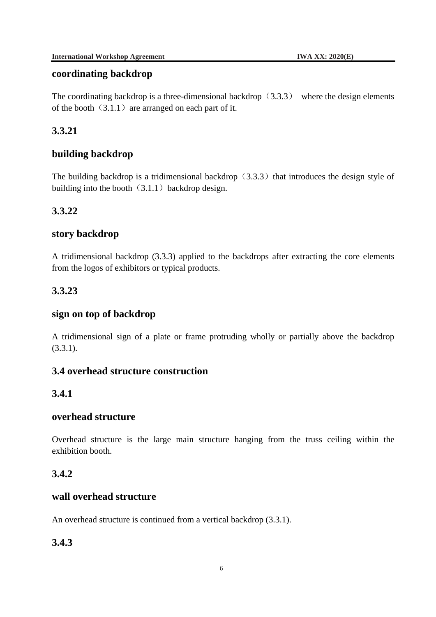#### **coordinating backdrop**

The coordinating backdrop is a three-dimensional backdrop  $(3.3.3)$  where the design elements of the booth  $(3.1.1)$  are arranged on each part of it.

# **3.3.21**

# **building backdrop**

The building backdrop is a tridimensional backdrop  $(3.3.3)$  that introduces the design style of building into the booth  $(3.1.1)$  backdrop design.

# **3.3.22**

#### **story backdrop**

A tridimensional backdrop (3.3.3) applied to the backdrops after extracting the core elements from the logos of exhibitors or typical products.

# **3.3.23**

### **sign on top of backdrop**

A tridimensional sign of a plate or frame protruding wholly or partially above the backdrop  $(3.3.1)$ .

#### **3.4 overhead structure construction**

#### **3.4.1**

#### **overhead structure**

Overhead structure is the large main structure hanging from the truss ceiling within the exhibition booth.

# **3.4.2**

### **wall overhead structure**

An overhead structure is continued from a vertical backdrop (3.3.1).

# **3.4.3**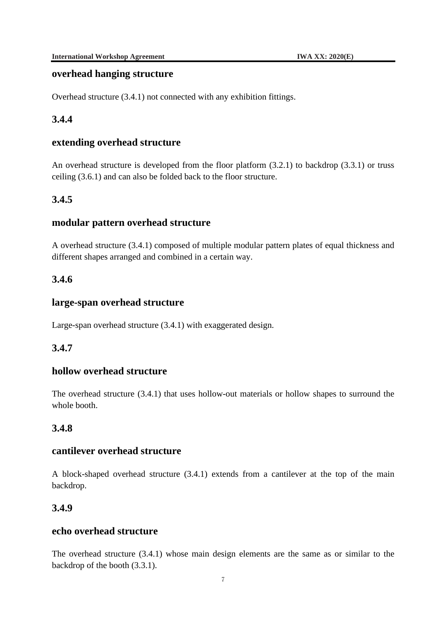#### **overhead hanging structure**

Overhead structure (3.4.1) not connected with any exhibition fittings.

# **3.4.4**

### **extending overhead structure**

An overhead structure is developed from the floor platform (3.2.1) to backdrop (3.3.1) or truss ceiling (3.6.1) and can also be folded back to the floor structure.

# **3.4.5**

#### **modular pattern overhead structure**

A overhead structure (3.4.1) composed of multiple modular pattern plates of equal thickness and different shapes arranged and combined in a certain way.

# **3.4.6**

# **large-span overhead structure**

Large-span overhead structure (3.4.1) with exaggerated design.

# **3.4.7**

#### **hollow overhead structure**

The overhead structure (3.4.1) that uses hollow-out materials or hollow shapes to surround the whole booth.

# **3.4.8**

#### **cantilever overhead structure**

A block-shaped overhead structure (3.4.1) extends from a cantilever at the top of the main backdrop.

#### **3.4.9**

#### **echo overhead structure**

The overhead structure (3.4.1) whose main design elements are the same as or similar to the backdrop of the booth (3.3.1).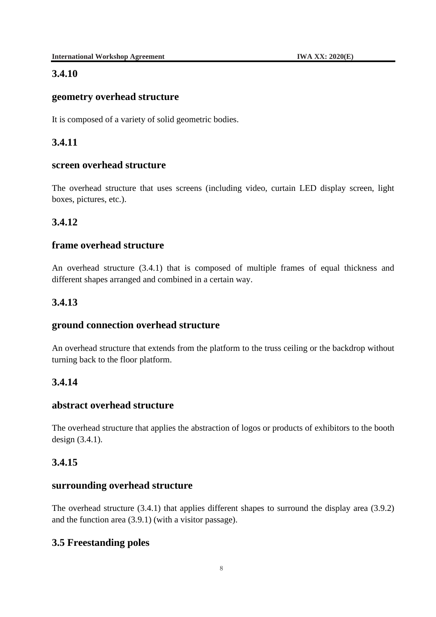#### **3.4.10**

#### **geometry overhead structure**

It is composed of a variety of solid geometric bodies.

### **3.4.11**

#### **screen overhead structure**

The overhead structure that uses screens (including video, curtain LED display screen, light boxes, pictures, etc.).

#### **3.4.12**

#### **frame overhead structure**

An overhead structure (3.4.1) that is composed of multiple frames of equal thickness and different shapes arranged and combined in a certain way.

#### **3.4.13**

#### **ground connection overhead structure**

An overhead structure that extends from the platform to the truss ceiling or the backdrop without turning back to the floor platform.

#### **3.4.14**

### **abstract overhead structure**

The overhead structure that applies the abstraction of logos or products of exhibitors to the booth design (3.4.1).

#### **3.4.15**

#### **surrounding overhead structure**

The overhead structure (3.4.1) that applies different shapes to surround the display area (3.9.2) and the function area (3.9.1) (with a visitor passage).

#### **3.5 Freestanding poles**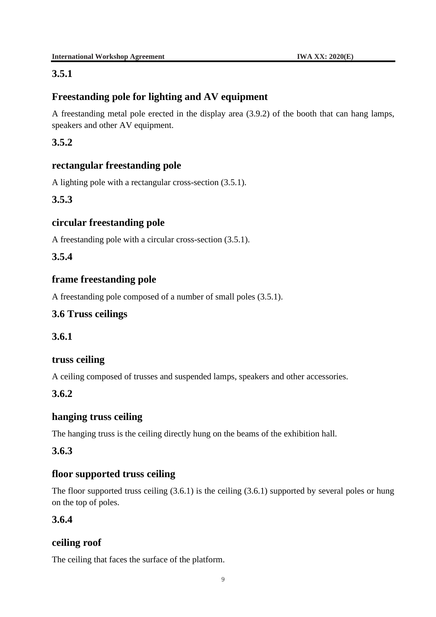# **3.5.1**

# **Freestanding pole for lighting and AV equipment**

A freestanding metal pole erected in the display area (3.9.2) of the booth that can hang lamps, speakers and other AV equipment.

# **3.5.2**

# **rectangular freestanding pole**

A lighting pole with a rectangular cross-section (3.5.1).

# **3.5.3**

# **circular freestanding pole**

A freestanding pole with a circular cross-section (3.5.1).

# **3.5.4**

# **frame freestanding pole**

A freestanding pole composed of a number of small poles (3.5.1).

# **3.6 Truss ceilings**

### **3.6.1**

#### **truss ceiling**

A ceiling composed of trusses and suspended lamps, speakers and other accessories.

# **3.6.2**

# **hanging truss ceiling**

The hanging truss is the ceiling directly hung on the beams of the exhibition hall.

#### **3.6.3**

# **floor supported truss ceiling**

The floor supported truss ceiling (3.6.1) is the ceiling (3.6.1) supported by several poles or hung on the top of poles.

#### **3.6.4**

#### **ceiling roof**

The ceiling that faces the surface of the platform.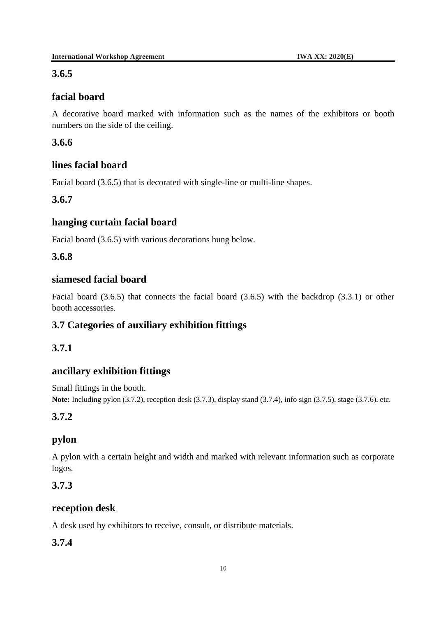#### **3.6.5**

# **facial board**

A decorative board marked with information such as the names of the exhibitors or booth numbers on the side of the ceiling.

# **3.6.6**

# **lines facial board**

Facial board (3.6.5) that is decorated with single-line or multi-line shapes.

# **3.6.7**

# **hanging curtain facial board**

Facial board (3.6.5) with various decorations hung below.

# **3.6.8**

# **siamesed facial board**

Facial board (3.6.5) that connects the facial board (3.6.5) with the backdrop (3.3.1) or other booth accessories.

# **3.7 Categories of auxiliary exhibition fittings**

# **3.7.1**

# **ancillary exhibition fittings**

Small fittings in the booth. **Note:** Including pylon (3.7.2), reception desk (3.7.3), display stand (3.7.4), info sign (3.7.5), stage (3.7.6), etc.

#### **3.7.2**

# **pylon**

A pylon with a certain height and width and marked with relevant information such as corporate logos.

# **3.7.3**

# **reception desk**

A desk used by exhibitors to receive, consult, or distribute materials.

#### **3.7.4**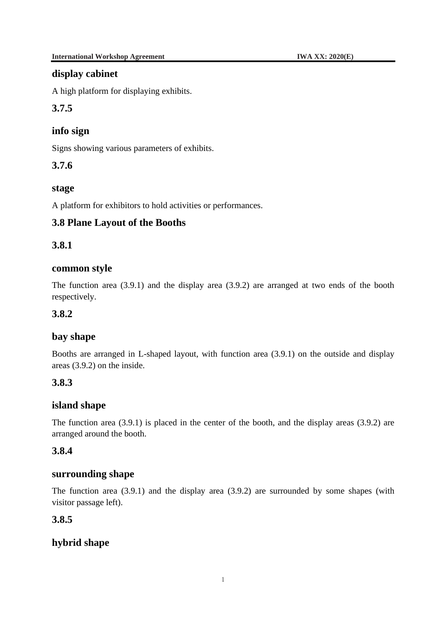#### **display cabinet**

A high platform for displaying exhibits.

**3.7.5**

# **info sign**

Signs showing various parameters of exhibits.

# **3.7.6**

#### **stage**

A platform for exhibitors to hold activities or performances.

# **3.8 Plane Layout of the Booths**

# **3.8.1**

#### **common style**

The function area (3.9.1) and the display area (3.9.2) are arranged at two ends of the booth respectively.

#### **3.8.2**

#### **bay shape**

Booths are arranged in L-shaped layout, with function area (3.9.1) on the outside and display areas (3.9.2) on the inside.

#### **3.8.3**

#### **island shape**

The function area (3.9.1) is placed in the center of the booth, and the display areas (3.9.2) are arranged around the booth.

#### **3.8.4**

#### **surrounding shape**

The function area (3.9.1) and the display area (3.9.2) are surrounded by some shapes (with visitor passage left).

#### **3.8.5**

# **hybrid shape**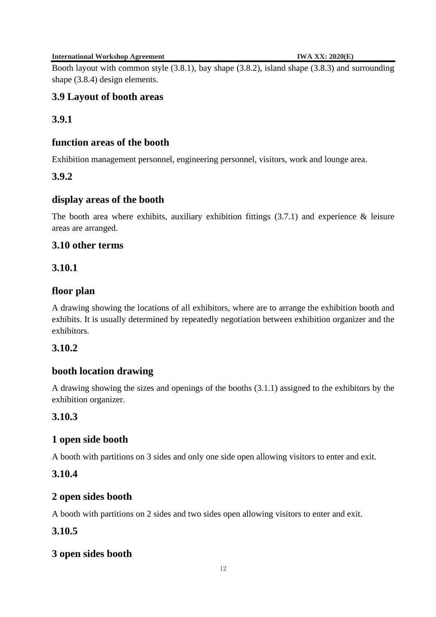**International Workshop Agreement IWA XX:** 2020(E)

Booth layout with common style (3.8.1), bay shape (3.8.2), island shape (3.8.3) and surrounding shape (3.8.4) design elements.

# **3.9 Layout of booth areas**

# **3.9.1**

#### **function areas of the booth**

Exhibition management personnel, engineering personnel, visitors, work and lounge area.

#### **3.9.2**

#### **display areas of the booth**

The booth area where exhibits, auxiliary exhibition fittings  $(3.7.1)$  and experience & leisure areas are arranged.

#### **3.10 other terms**

#### **3.10.1**

#### **floor plan**

A drawing showing the locations of all exhibitors, where are to arrange the exhibition booth and exhibits. It is usually determined by repeatedly negotiation between exhibition organizer and the exhibitors.

#### **3.10.2**

#### **booth location drawing**

A drawing showing the sizes and openings of the booths (3.1.1) assigned to the exhibitors by the exhibition organizer.

#### **3.10.3**

#### **1 open side booth**

A booth with partitions on 3 sides and only one side open allowing visitors to enter and exit.

#### **3.10.4**

#### **2 open sides booth**

A booth with partitions on 2 sides and two sides open allowing visitors to enter and exit.

#### **3.10.5**

#### **3 open sides booth**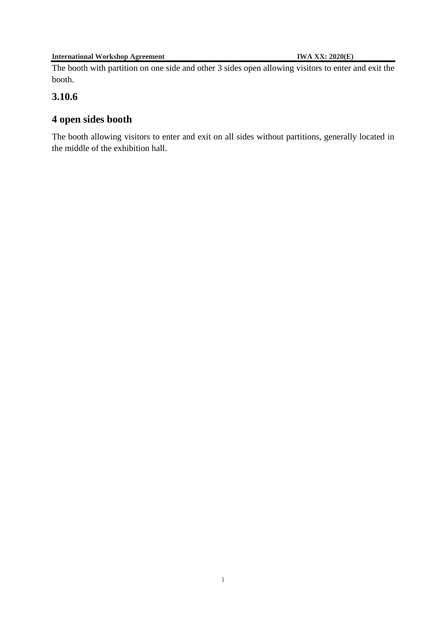The booth with partition on one side and other 3 sides open allowing visitors to enter and exit the booth.

# **3.10.6**

# **4 open sides booth**

The booth allowing visitors to enter and exit on all sides without partitions, generally located in the middle of the exhibition hall.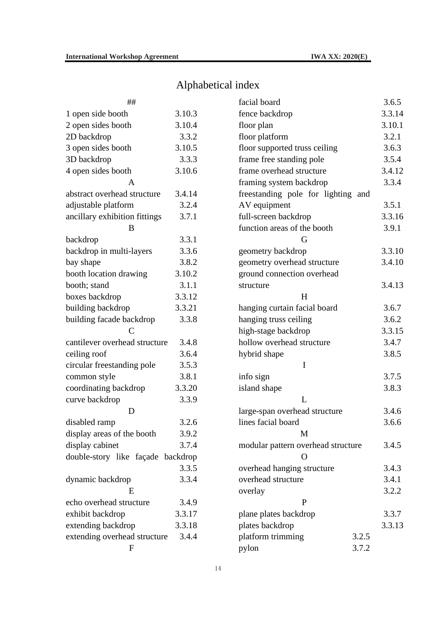# Alphabetical index

| ##                                |        |  |  |  |  |
|-----------------------------------|--------|--|--|--|--|
| 1 open side booth                 | 3.10.3 |  |  |  |  |
| 2 open sides booth                | 3.10.4 |  |  |  |  |
| 2D backdrop                       | 3.3.2  |  |  |  |  |
| 3 open sides booth                | 3.10.5 |  |  |  |  |
| 3D backdrop                       | 3.3.3  |  |  |  |  |
| 4 open sides booth                | 3.10.6 |  |  |  |  |
| A                                 |        |  |  |  |  |
| abstract overhead structure       | 3.4.14 |  |  |  |  |
| adjustable platform               | 3.2.4  |  |  |  |  |
| ancillary exhibition fittings     | 3.7.1  |  |  |  |  |
| B                                 |        |  |  |  |  |
| backdrop                          | 3.3.1  |  |  |  |  |
| backdrop in multi-layers          | 3.3.6  |  |  |  |  |
| bay shape                         | 3.8.2  |  |  |  |  |
| booth location drawing            | 3.10.2 |  |  |  |  |
| booth; stand                      | 3.1.1  |  |  |  |  |
| boxes backdrop                    | 3.3.12 |  |  |  |  |
| building backdrop                 | 3.3.21 |  |  |  |  |
| building facade backdrop<br>C     | 3.3.8  |  |  |  |  |
| cantilever overhead structure     | 3.4.8  |  |  |  |  |
| ceiling roof                      | 3.6.4  |  |  |  |  |
| circular freestanding pole        | 3.5.3  |  |  |  |  |
| common style                      | 3.8.1  |  |  |  |  |
| coordinating backdrop             | 3.3.20 |  |  |  |  |
| curve backdrop                    | 3.3.9  |  |  |  |  |
| D                                 |        |  |  |  |  |
| disabled ramp                     | 3.2.6  |  |  |  |  |
| display areas of the booth        | 3.9.2  |  |  |  |  |
| display cabinet                   | 3.7.4  |  |  |  |  |
| double-story like façade backdrop |        |  |  |  |  |
|                                   | 3.3.5  |  |  |  |  |
| dynamic backdrop                  | 3.3.4  |  |  |  |  |
| E                                 |        |  |  |  |  |
| echo overhead structure           | 3.4.9  |  |  |  |  |
| exhibit backdrop                  | 3.3.17 |  |  |  |  |
| extending backdrop                | 3.3.18 |  |  |  |  |
| extending overhead structure      | 3.4.4  |  |  |  |  |
| F                                 |        |  |  |  |  |

| facial board                       | 3.6.5  |
|------------------------------------|--------|
| fence backdrop                     | 3.3.14 |
| floor plan                         | 3.10.1 |
| floor platform                     | 3.2.1  |
| floor supported truss ceiling      | 3.6.3  |
| frame free standing pole           | 3.5.4  |
| frame overhead structure           | 3.4.12 |
| framing system backdrop            | 3.3.4  |
| freestanding pole for lighting and |        |
| AV equipment                       | 3.5.1  |
| full-screen backdrop               | 3.3.16 |
| function areas of the booth        | 3.9.1  |
| G                                  |        |
| geometry backdrop                  | 3.3.10 |
| geometry overhead structure        | 3.4.10 |
| ground connection overhead         |        |
| structure                          | 3.4.13 |
| H                                  |        |
| hanging curtain facial board       | 3.6.7  |
| hanging truss ceiling              | 3.6.2  |
| high-stage backdrop                | 3.3.15 |
| hollow overhead structure          | 3.4.7  |
| hybrid shape                       | 3.8.5  |
| I                                  |        |
| info sign                          | 3.7.5  |
| island shape                       | 3.8.3  |
| L                                  |        |
| large-span overhead structure      | 3.4.6  |
| lines facial board                 | 3.6.6  |
| M                                  |        |
| modular pattern overhead structure | 3.4.5  |
| O                                  |        |
| overhead hanging structure         | 3.4.3  |
| overhead structure                 | 3.4.1  |
| overlay                            | 3.2.2  |
| P                                  |        |
| plane plates backdrop              | 3.3.7  |
| plates backdrop                    | 3.3.13 |
| 3.2.5<br>platform trimming         |        |
| 3.7.2<br>pylon                     |        |
|                                    |        |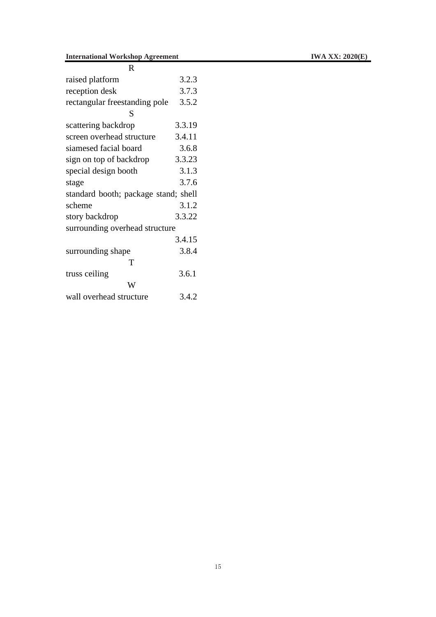| R                                    |        |  |  |  |
|--------------------------------------|--------|--|--|--|
| raised platform                      | 3.2.3  |  |  |  |
| reception desk                       | 3.7.3  |  |  |  |
| rectangular freestanding pole        | 3.5.2  |  |  |  |
| S                                    |        |  |  |  |
| scattering backdrop                  | 3.3.19 |  |  |  |
| screen overhead structure            | 3.4.11 |  |  |  |
| siamesed facial board                | 3.6.8  |  |  |  |
| sign on top of backdrop              | 3.3.23 |  |  |  |
| special design booth                 | 3.1.3  |  |  |  |
| stage                                | 3.7.6  |  |  |  |
| standard booth; package stand; shell |        |  |  |  |
| scheme                               | 3.1.2  |  |  |  |
| story backdrop                       | 3.3.22 |  |  |  |
| surrounding overhead structure       |        |  |  |  |
|                                      | 3.4.15 |  |  |  |
| surrounding shape                    | 3.8.4  |  |  |  |
| т                                    |        |  |  |  |
| truss ceiling                        | 3.6.1  |  |  |  |
| W                                    |        |  |  |  |
| wall overhead structure              | 3.4.2  |  |  |  |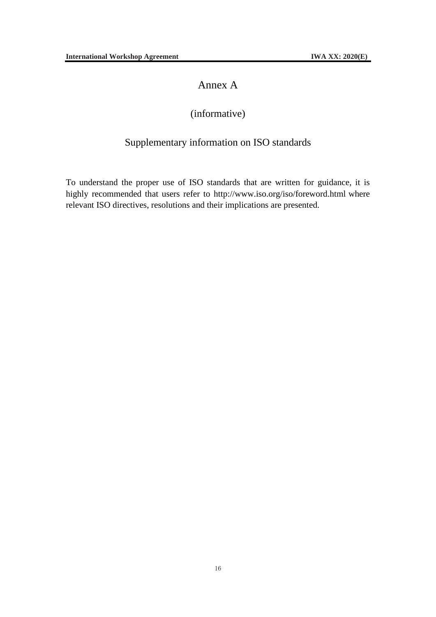# Annex A

# (informative)

# Supplementary information on ISO standards

To understand the proper use of ISO standards that are written for guidance, it is highly recommended that users refer to [http://www.iso.org/i](http://www.iso.org/obp)so/foreword.html where relevant ISO directives, resolutions and their implications are presented.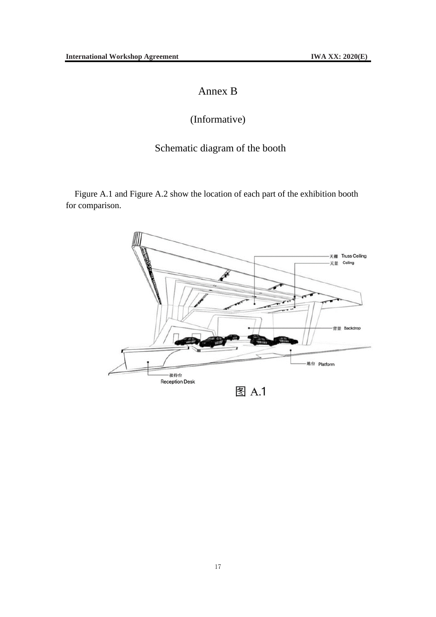# Annex B

# (Informative)

# Schematic diagram of the booth

<span id="page-27-0"></span>Figure A.1 and Figure A.2 show the location of each part of the exhibition booth for comparison.

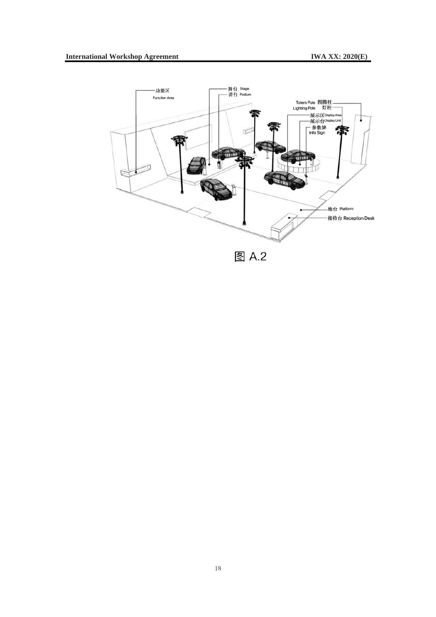

图 A.2